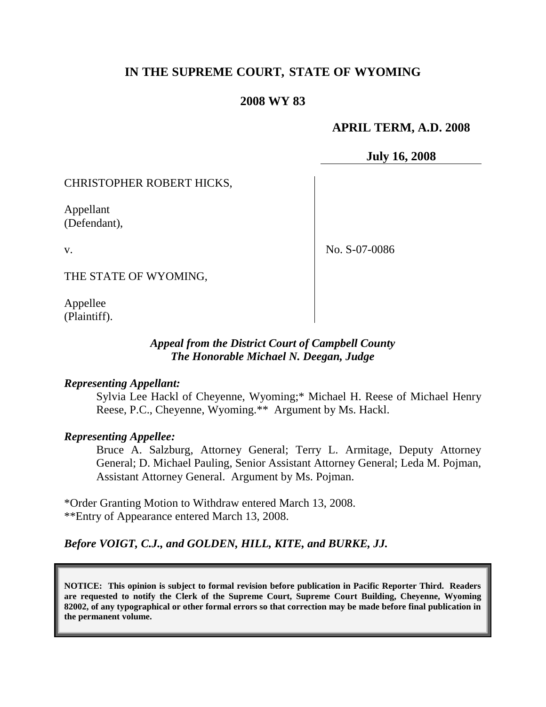# **IN THE SUPREME COURT, STATE OF WYOMING**

#### **2008 WY 83**

#### **APRIL TERM, A.D. 2008**

**July 16, 2008**

#### CHRISTOPHER ROBERT HICKS,

Appellant (Defendant),

v.

No. S-07-0086

THE STATE OF WYOMING,

Appellee (Plaintiff).

#### *Appeal from the District Court of Campbell County The Honorable Michael N. Deegan, Judge*

#### *Representing Appellant:*

Sylvia Lee Hackl of Cheyenne, Wyoming;\* Michael H. Reese of Michael Henry Reese, P.C., Cheyenne, Wyoming.\*\* Argument by Ms. Hackl.

#### *Representing Appellee:*

Bruce A. Salzburg, Attorney General; Terry L. Armitage, Deputy Attorney General; D. Michael Pauling, Senior Assistant Attorney General; Leda M. Pojman, Assistant Attorney General. Argument by Ms. Pojman.

\*Order Granting Motion to Withdraw entered March 13, 2008. \*\*Entry of Appearance entered March 13, 2008.

## *Before VOIGT, C.J., and GOLDEN, HILL, KITE, and BURKE, JJ.*

**NOTICE: This opinion is subject to formal revision before publication in Pacific Reporter Third. Readers are requested to notify the Clerk of the Supreme Court, Supreme Court Building, Cheyenne, Wyoming 82002, of any typographical or other formal errors so that correction may be made before final publication in the permanent volume.**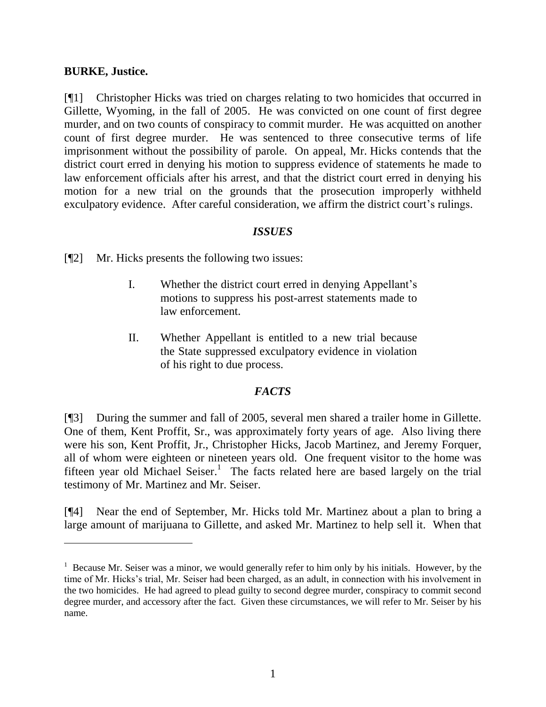#### **BURKE, Justice.**

[¶1] Christopher Hicks was tried on charges relating to two homicides that occurred in Gillette, Wyoming, in the fall of 2005. He was convicted on one count of first degree murder, and on two counts of conspiracy to commit murder. He was acquitted on another count of first degree murder. He was sentenced to three consecutive terms of life imprisonment without the possibility of parole. On appeal, Mr. Hicks contends that the district court erred in denying his motion to suppress evidence of statements he made to law enforcement officials after his arrest, and that the district court erred in denying his motion for a new trial on the grounds that the prosecution improperly withheld exculpatory evidence. After careful consideration, we affirm the district court's rulings.

## *ISSUES*

[¶2] Mr. Hicks presents the following two issues:

- I. Whether the district court erred in denying Appellant"s motions to suppress his post-arrest statements made to law enforcement.
- II. Whether Appellant is entitled to a new trial because the State suppressed exculpatory evidence in violation of his right to due process.

## *FACTS*

[¶3] During the summer and fall of 2005, several men shared a trailer home in Gillette. One of them, Kent Proffit, Sr., was approximately forty years of age. Also living there were his son, Kent Proffit, Jr., Christopher Hicks, Jacob Martinez, and Jeremy Forquer, all of whom were eighteen or nineteen years old. One frequent visitor to the home was fifteen year old Michael Seiser.<sup>1</sup> The facts related here are based largely on the trial testimony of Mr. Martinez and Mr. Seiser.

[¶4] Near the end of September, Mr. Hicks told Mr. Martinez about a plan to bring a large amount of marijuana to Gillette, and asked Mr. Martinez to help sell it. When that

 $<sup>1</sup>$  Because Mr. Seiser was a minor, we would generally refer to him only by his initials. However, by the</sup> time of Mr. Hicks"s trial, Mr. Seiser had been charged, as an adult, in connection with his involvement in the two homicides. He had agreed to plead guilty to second degree murder, conspiracy to commit second degree murder, and accessory after the fact. Given these circumstances, we will refer to Mr. Seiser by his name.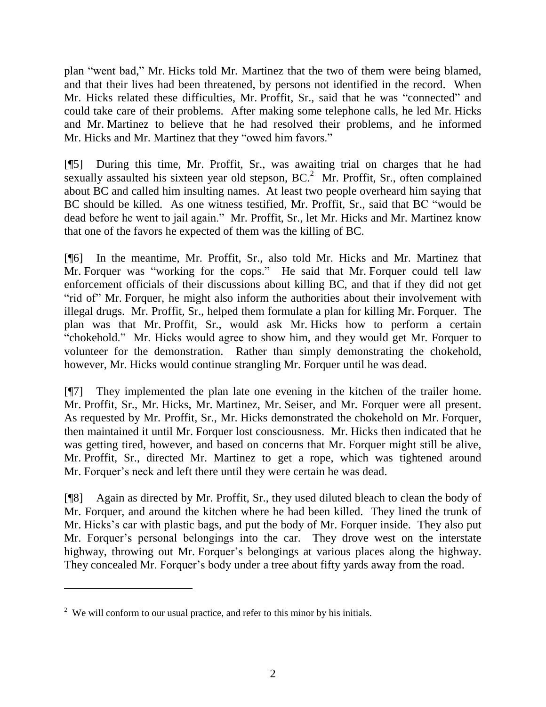plan "went bad," Mr. Hicks told Mr. Martinez that the two of them were being blamed, and that their lives had been threatened, by persons not identified in the record. When Mr. Hicks related these difficulties, Mr. Proffit, Sr., said that he was "connected" and could take care of their problems. After making some telephone calls, he led Mr. Hicks and Mr. Martinez to believe that he had resolved their problems, and he informed Mr. Hicks and Mr. Martinez that they "owed him favors."

[¶5] During this time, Mr. Proffit, Sr., was awaiting trial on charges that he had sexually assaulted his sixteen year old stepson,  $BC<sup>2</sup>$  Mr. Proffit, Sr., often complained about BC and called him insulting names. At least two people overheard him saying that BC should be killed. As one witness testified, Mr. Proffit, Sr., said that BC "would be dead before he went to jail again." Mr. Proffit, Sr., let Mr. Hicks and Mr. Martinez know that one of the favors he expected of them was the killing of BC.

[¶6] In the meantime, Mr. Proffit, Sr., also told Mr. Hicks and Mr. Martinez that Mr. Forquer was "working for the cops." He said that Mr. Forquer could tell law enforcement officials of their discussions about killing BC, and that if they did not get "rid of" Mr. Forquer, he might also inform the authorities about their involvement with illegal drugs. Mr. Proffit, Sr., helped them formulate a plan for killing Mr. Forquer. The plan was that Mr. Proffit, Sr., would ask Mr. Hicks how to perform a certain "chokehold." Mr. Hicks would agree to show him, and they would get Mr. Forquer to volunteer for the demonstration. Rather than simply demonstrating the chokehold, however, Mr. Hicks would continue strangling Mr. Forquer until he was dead.

[¶7] They implemented the plan late one evening in the kitchen of the trailer home. Mr. Proffit, Sr., Mr. Hicks, Mr. Martinez, Mr. Seiser, and Mr. Forquer were all present. As requested by Mr. Proffit, Sr., Mr. Hicks demonstrated the chokehold on Mr. Forquer, then maintained it until Mr. Forquer lost consciousness. Mr. Hicks then indicated that he was getting tired, however, and based on concerns that Mr. Forquer might still be alive, Mr. Proffit, Sr., directed Mr. Martinez to get a rope, which was tightened around Mr. Forquer's neck and left there until they were certain he was dead.

[¶8] Again as directed by Mr. Proffit, Sr., they used diluted bleach to clean the body of Mr. Forquer, and around the kitchen where he had been killed. They lined the trunk of Mr. Hicks's car with plastic bags, and put the body of Mr. Forquer inside. They also put Mr. Forquer's personal belongings into the car. They drove west on the interstate highway, throwing out Mr. Forquer's belongings at various places along the highway. They concealed Mr. Forquer's body under a tree about fifty yards away from the road.

 $2$  We will conform to our usual practice, and refer to this minor by his initials.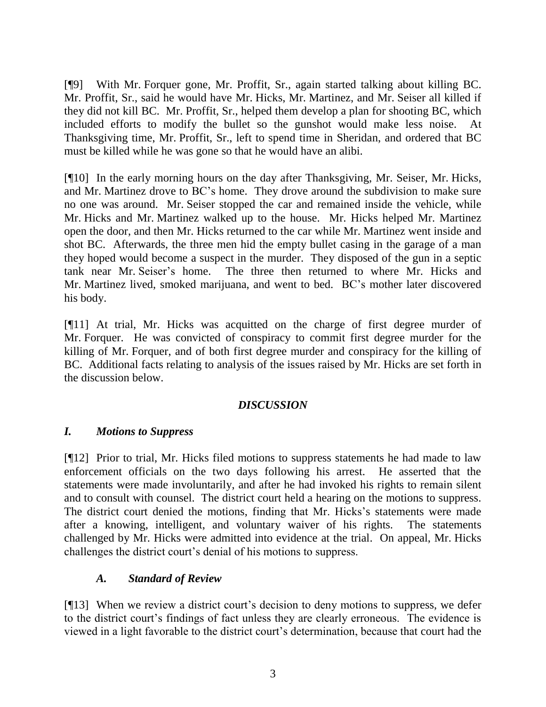[¶9] With Mr. Forquer gone, Mr. Proffit, Sr., again started talking about killing BC. Mr. Proffit, Sr., said he would have Mr. Hicks, Mr. Martinez, and Mr. Seiser all killed if they did not kill BC. Mr. Proffit, Sr., helped them develop a plan for shooting BC, which included efforts to modify the bullet so the gunshot would make less noise. Thanksgiving time, Mr. Proffit, Sr., left to spend time in Sheridan, and ordered that BC must be killed while he was gone so that he would have an alibi.

[¶10] In the early morning hours on the day after Thanksgiving, Mr. Seiser, Mr. Hicks, and Mr. Martinez drove to BC"s home. They drove around the subdivision to make sure no one was around. Mr. Seiser stopped the car and remained inside the vehicle, while Mr. Hicks and Mr. Martinez walked up to the house. Mr. Hicks helped Mr. Martinez open the door, and then Mr. Hicks returned to the car while Mr. Martinez went inside and shot BC. Afterwards, the three men hid the empty bullet casing in the garage of a man they hoped would become a suspect in the murder. They disposed of the gun in a septic tank near Mr. Seiser"s home. The three then returned to where Mr. Hicks and Mr. Martinez lived, smoked marijuana, and went to bed. BC"s mother later discovered his body.

[¶11] At trial, Mr. Hicks was acquitted on the charge of first degree murder of Mr. Forquer. He was convicted of conspiracy to commit first degree murder for the killing of Mr. Forquer, and of both first degree murder and conspiracy for the killing of BC. Additional facts relating to analysis of the issues raised by Mr. Hicks are set forth in the discussion below.

## *DISCUSSION*

## *I. Motions to Suppress*

[¶12] Prior to trial, Mr. Hicks filed motions to suppress statements he had made to law enforcement officials on the two days following his arrest. He asserted that the statements were made involuntarily, and after he had invoked his rights to remain silent and to consult with counsel. The district court held a hearing on the motions to suppress. The district court denied the motions, finding that Mr. Hicks"s statements were made after a knowing, intelligent, and voluntary waiver of his rights. The statements challenged by Mr. Hicks were admitted into evidence at the trial. On appeal, Mr. Hicks challenges the district court"s denial of his motions to suppress.

## *A. Standard of Review*

[¶13] When we review a district court's decision to deny motions to suppress, we defer to the district court's findings of fact unless they are clearly erroneous. The evidence is viewed in a light favorable to the district court's determination, because that court had the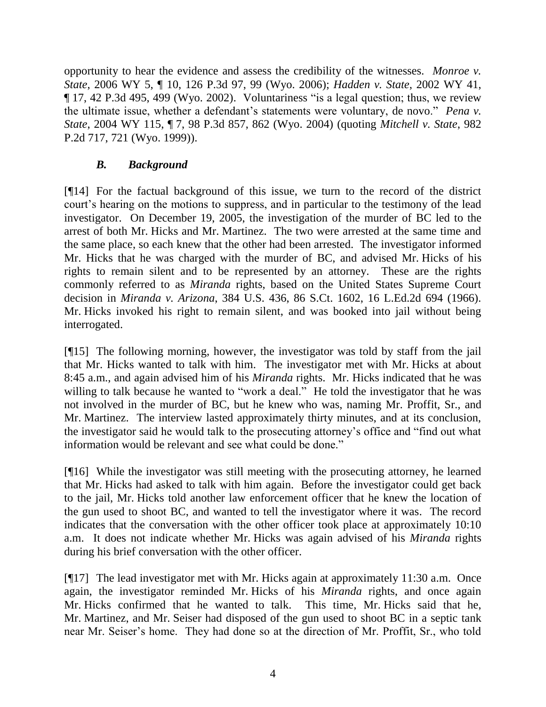opportunity to hear the evidence and assess the credibility of the witnesses. *Monroe v. State*, 2006 WY 5, ¶ 10, 126 P.3d 97, 99 (Wyo. 2006); *Hadden v. State*, 2002 WY 41, ¶ 17, 42 P.3d 495, 499 (Wyo. 2002). Voluntariness "is a legal question; thus, we review the ultimate issue, whether a defendant"s statements were voluntary, de novo." *Pena v. State*, 2004 WY 115, ¶ 7, 98 P.3d 857, 862 (Wyo. 2004) (quoting *Mitchell v. State*, 982 P.2d 717, 721 (Wyo. 1999)).

## *B. Background*

[¶14] For the factual background of this issue, we turn to the record of the district court's hearing on the motions to suppress, and in particular to the testimony of the lead investigator. On December 19, 2005, the investigation of the murder of BC led to the arrest of both Mr. Hicks and Mr. Martinez. The two were arrested at the same time and the same place, so each knew that the other had been arrested. The investigator informed Mr. Hicks that he was charged with the murder of BC, and advised Mr. Hicks of his rights to remain silent and to be represented by an attorney. These are the rights commonly referred to as *Miranda* rights, based on the United States Supreme Court decision in *Miranda v. Arizona*, 384 U.S. 436, 86 S.Ct. 1602, 16 L.Ed.2d 694 (1966). Mr. Hicks invoked his right to remain silent, and was booked into jail without being interrogated.

[¶15] The following morning, however, the investigator was told by staff from the jail that Mr. Hicks wanted to talk with him. The investigator met with Mr. Hicks at about 8:45 a.m., and again advised him of his *Miranda* rights. Mr. Hicks indicated that he was willing to talk because he wanted to "work a deal." He told the investigator that he was not involved in the murder of BC, but he knew who was, naming Mr. Proffit, Sr., and Mr. Martinez. The interview lasted approximately thirty minutes, and at its conclusion, the investigator said he would talk to the prosecuting attorney"s office and "find out what information would be relevant and see what could be done."

[¶16] While the investigator was still meeting with the prosecuting attorney, he learned that Mr. Hicks had asked to talk with him again. Before the investigator could get back to the jail, Mr. Hicks told another law enforcement officer that he knew the location of the gun used to shoot BC, and wanted to tell the investigator where it was. The record indicates that the conversation with the other officer took place at approximately 10:10 a.m. It does not indicate whether Mr. Hicks was again advised of his *Miranda* rights during his brief conversation with the other officer.

[¶17] The lead investigator met with Mr. Hicks again at approximately 11:30 a.m. Once again, the investigator reminded Mr. Hicks of his *Miranda* rights, and once again Mr. Hicks confirmed that he wanted to talk. This time, Mr. Hicks said that he, Mr. Martinez, and Mr. Seiser had disposed of the gun used to shoot BC in a septic tank near Mr. Seiser"s home. They had done so at the direction of Mr. Proffit, Sr., who told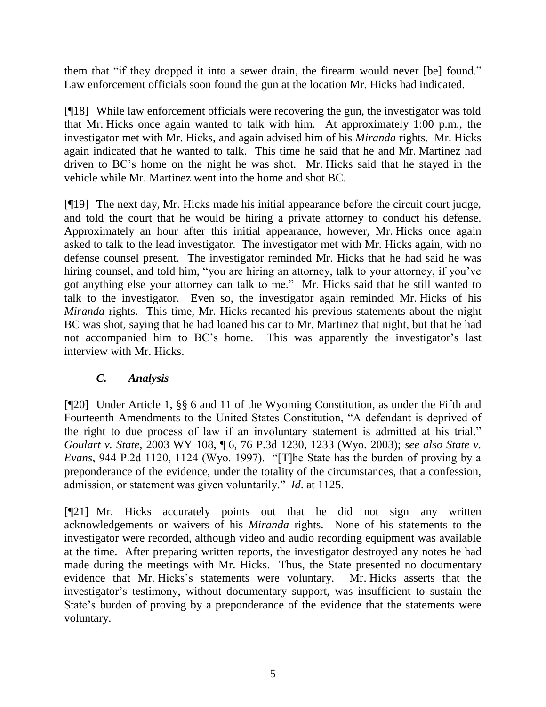them that "if they dropped it into a sewer drain, the firearm would never [be] found." Law enforcement officials soon found the gun at the location Mr. Hicks had indicated.

[¶18] While law enforcement officials were recovering the gun, the investigator was told that Mr. Hicks once again wanted to talk with him. At approximately 1:00 p.m., the investigator met with Mr. Hicks, and again advised him of his *Miranda* rights. Mr. Hicks again indicated that he wanted to talk. This time he said that he and Mr. Martinez had driven to BC"s home on the night he was shot. Mr. Hicks said that he stayed in the vehicle while Mr. Martinez went into the home and shot BC.

[¶19] The next day, Mr. Hicks made his initial appearance before the circuit court judge, and told the court that he would be hiring a private attorney to conduct his defense. Approximately an hour after this initial appearance, however, Mr. Hicks once again asked to talk to the lead investigator. The investigator met with Mr. Hicks again, with no defense counsel present. The investigator reminded Mr. Hicks that he had said he was hiring counsel, and told him, "you are hiring an attorney, talk to your attorney, if you've got anything else your attorney can talk to me." Mr. Hicks said that he still wanted to talk to the investigator. Even so, the investigator again reminded Mr. Hicks of his *Miranda* rights. This time, Mr. Hicks recanted his previous statements about the night BC was shot, saying that he had loaned his car to Mr. Martinez that night, but that he had not accompanied him to BC's home. This was apparently the investigator's last interview with Mr. Hicks.

## *C. Analysis*

[¶20] Under Article 1, §§ 6 and 11 of the Wyoming Constitution, as under the Fifth and Fourteenth Amendments to the United States Constitution, "A defendant is deprived of the right to due process of law if an involuntary statement is admitted at his trial." *Goulart v. State*, 2003 WY 108, ¶ 6, 76 P.3d 1230, 1233 (Wyo. 2003); *see also State v. Evans*, 944 P.2d 1120, 1124 (Wyo. 1997). "[T]he State has the burden of proving by a preponderance of the evidence, under the totality of the circumstances, that a confession, admission, or statement was given voluntarily." *Id*. at 1125.

[¶21] Mr. Hicks accurately points out that he did not sign any written acknowledgements or waivers of his *Miranda* rights. None of his statements to the investigator were recorded, although video and audio recording equipment was available at the time. After preparing written reports, the investigator destroyed any notes he had made during the meetings with Mr. Hicks. Thus, the State presented no documentary evidence that Mr. Hicks"s statements were voluntary. Mr. Hicks asserts that the investigator's testimony, without documentary support, was insufficient to sustain the State's burden of proving by a preponderance of the evidence that the statements were voluntary.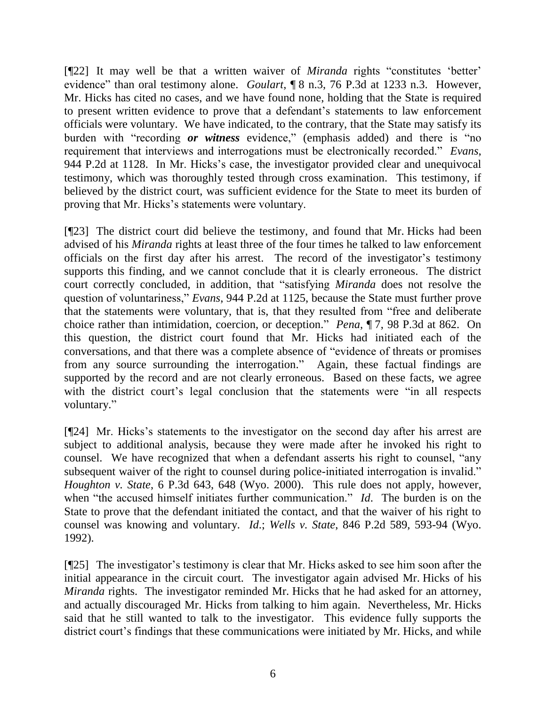[¶22] It may well be that a written waiver of *Miranda* rights "constitutes "better" evidence" than oral testimony alone. *Goulart*, ¶ 8 n.3, 76 P.3d at 1233 n.3. However, Mr. Hicks has cited no cases, and we have found none, holding that the State is required to present written evidence to prove that a defendant"s statements to law enforcement officials were voluntary. We have indicated, to the contrary, that the State may satisfy its burden with "recording *or witness* evidence," (emphasis added) and there is "no requirement that interviews and interrogations must be electronically recorded." *Evans*, 944 P.2d at 1128. In Mr. Hicks"s case, the investigator provided clear and unequivocal testimony, which was thoroughly tested through cross examination. This testimony, if believed by the district court, was sufficient evidence for the State to meet its burden of proving that Mr. Hicks"s statements were voluntary.

[¶23] The district court did believe the testimony, and found that Mr. Hicks had been advised of his *Miranda* rights at least three of the four times he talked to law enforcement officials on the first day after his arrest. The record of the investigator's testimony supports this finding, and we cannot conclude that it is clearly erroneous. The district court correctly concluded, in addition, that "satisfying *Miranda* does not resolve the question of voluntariness," *Evans*, 944 P.2d at 1125, because the State must further prove that the statements were voluntary, that is, that they resulted from "free and deliberate choice rather than intimidation, coercion, or deception." *Pena*, ¶ 7, 98 P.3d at 862. On this question, the district court found that Mr. Hicks had initiated each of the conversations, and that there was a complete absence of "evidence of threats or promises from any source surrounding the interrogation." Again, these factual findings are supported by the record and are not clearly erroneous. Based on these facts, we agree with the district court's legal conclusion that the statements were "in all respects voluntary."

[¶24] Mr. Hicks"s statements to the investigator on the second day after his arrest are subject to additional analysis, because they were made after he invoked his right to counsel. We have recognized that when a defendant asserts his right to counsel, "any subsequent waiver of the right to counsel during police-initiated interrogation is invalid." *Houghton v. State*, 6 P.3d 643, 648 (Wyo. 2000). This rule does not apply, however, when "the accused himself initiates further communication." *Id*. The burden is on the State to prove that the defendant initiated the contact, and that the waiver of his right to counsel was knowing and voluntary. *Id*.; *Wells v. State*, 846 P.2d 589, 593-94 (Wyo. 1992).

[¶25] The investigator"s testimony is clear that Mr. Hicks asked to see him soon after the initial appearance in the circuit court. The investigator again advised Mr. Hicks of his *Miranda* rights. The investigator reminded Mr. Hicks that he had asked for an attorney, and actually discouraged Mr. Hicks from talking to him again. Nevertheless, Mr. Hicks said that he still wanted to talk to the investigator. This evidence fully supports the district court's findings that these communications were initiated by Mr. Hicks, and while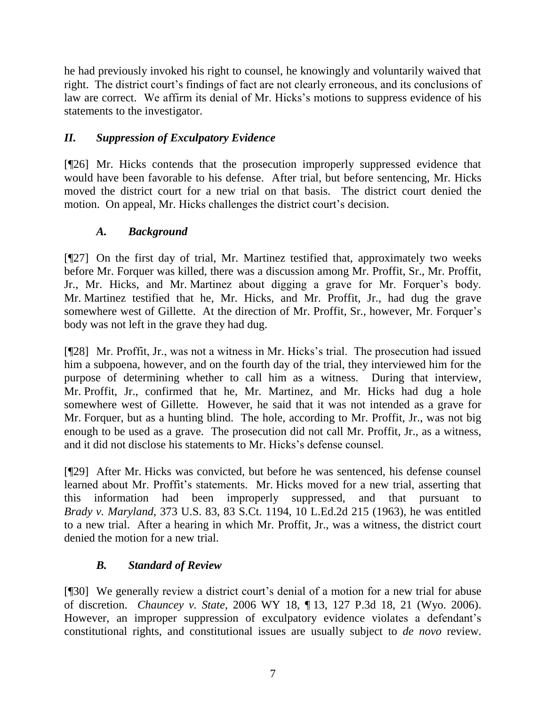he had previously invoked his right to counsel, he knowingly and voluntarily waived that right. The district court's findings of fact are not clearly erroneous, and its conclusions of law are correct. We affirm its denial of Mr. Hicks"s motions to suppress evidence of his statements to the investigator.

# *II. Suppression of Exculpatory Evidence*

[¶26] Mr. Hicks contends that the prosecution improperly suppressed evidence that would have been favorable to his defense. After trial, but before sentencing, Mr. Hicks moved the district court for a new trial on that basis. The district court denied the motion. On appeal, Mr. Hicks challenges the district court's decision.

# *A. Background*

[¶27] On the first day of trial, Mr. Martinez testified that, approximately two weeks before Mr. Forquer was killed, there was a discussion among Mr. Proffit, Sr., Mr. Proffit, Jr., Mr. Hicks, and Mr. Martinez about digging a grave for Mr. Forquer"s body. Mr. Martinez testified that he, Mr. Hicks, and Mr. Proffit, Jr., had dug the grave somewhere west of Gillette. At the direction of Mr. Proffit, Sr., however, Mr. Forquer's body was not left in the grave they had dug.

[¶28] Mr. Proffit, Jr., was not a witness in Mr. Hicks"s trial. The prosecution had issued him a subpoena, however, and on the fourth day of the trial, they interviewed him for the purpose of determining whether to call him as a witness. During that interview, Mr. Proffit, Jr., confirmed that he, Mr. Martinez, and Mr. Hicks had dug a hole somewhere west of Gillette. However, he said that it was not intended as a grave for Mr. Forquer, but as a hunting blind. The hole, according to Mr. Proffit, Jr., was not big enough to be used as a grave. The prosecution did not call Mr. Proffit, Jr., as a witness, and it did not disclose his statements to Mr. Hicks's defense counsel.

[¶29] After Mr. Hicks was convicted, but before he was sentenced, his defense counsel learned about Mr. Proffit's statements. Mr. Hicks moved for a new trial, asserting that this information had been improperly suppressed, and that pursuant to *Brady v. Maryland*, 373 U.S. 83, 83 S.Ct. 1194, 10 L.Ed.2d 215 (1963), he was entitled to a new trial. After a hearing in which Mr. Proffit, Jr., was a witness, the district court denied the motion for a new trial.

# *B. Standard of Review*

[¶30] We generally review a district court's denial of a motion for a new trial for abuse of discretion. *Chauncey v. State*, 2006 WY 18, ¶ 13, 127 P.3d 18, 21 (Wyo. 2006). However, an improper suppression of exculpatory evidence violates a defendant's constitutional rights, and constitutional issues are usually subject to *de novo* review.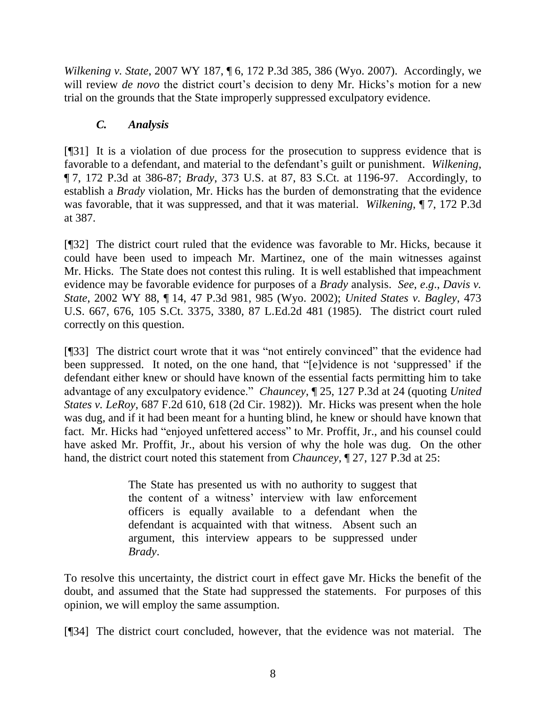*Wilkening v. State*, 2007 WY 187, ¶ 6, 172 P.3d 385, 386 (Wyo. 2007). Accordingly, we will review *de novo* the district court's decision to deny Mr. Hicks's motion for a new trial on the grounds that the State improperly suppressed exculpatory evidence.

# *C. Analysis*

[¶31] It is a violation of due process for the prosecution to suppress evidence that is favorable to a defendant, and material to the defendant's guilt or punishment. *Wilkening*, ¶ 7, 172 P.3d at 386-87; *Brady*, 373 U.S. at 87, 83 S.Ct. at 1196-97. Accordingly, to establish a *Brady* violation, Mr. Hicks has the burden of demonstrating that the evidence was favorable, that it was suppressed, and that it was material. *Wilkening*, ¶ 7, 172 P.3d at 387.

[¶32] The district court ruled that the evidence was favorable to Mr. Hicks, because it could have been used to impeach Mr. Martinez, one of the main witnesses against Mr. Hicks. The State does not contest this ruling. It is well established that impeachment evidence may be favorable evidence for purposes of a *Brady* analysis. *See*, *e*.*g*., *Davis v. State*, 2002 WY 88, ¶ 14, 47 P.3d 981, 985 (Wyo. 2002); *United States v. Bagley*, 473 U.S. 667, 676, 105 S.Ct. 3375, 3380, 87 L.Ed.2d 481 (1985). The district court ruled correctly on this question.

[¶33] The district court wrote that it was "not entirely convinced" that the evidence had been suppressed. It noted, on the one hand, that "[e]vidence is not "suppressed" if the defendant either knew or should have known of the essential facts permitting him to take advantage of any exculpatory evidence." *Chauncey*, ¶ 25, 127 P.3d at 24 (quoting *United States v. LeRoy*, 687 F.2d 610, 618 (2d Cir. 1982)). Mr. Hicks was present when the hole was dug, and if it had been meant for a hunting blind, he knew or should have known that fact. Mr. Hicks had "enjoyed unfettered access" to Mr. Proffit, Jr., and his counsel could have asked Mr. Proffit, Jr., about his version of why the hole was dug. On the other hand, the district court noted this statement from *Chauncey*, ¶ 27, 127 P.3d at 25:

> The State has presented us with no authority to suggest that the content of a witness" interview with law enforcement officers is equally available to a defendant when the defendant is acquainted with that witness. Absent such an argument, this interview appears to be suppressed under *Brady*.

To resolve this uncertainty, the district court in effect gave Mr. Hicks the benefit of the doubt, and assumed that the State had suppressed the statements. For purposes of this opinion, we will employ the same assumption.

[¶34] The district court concluded, however, that the evidence was not material. The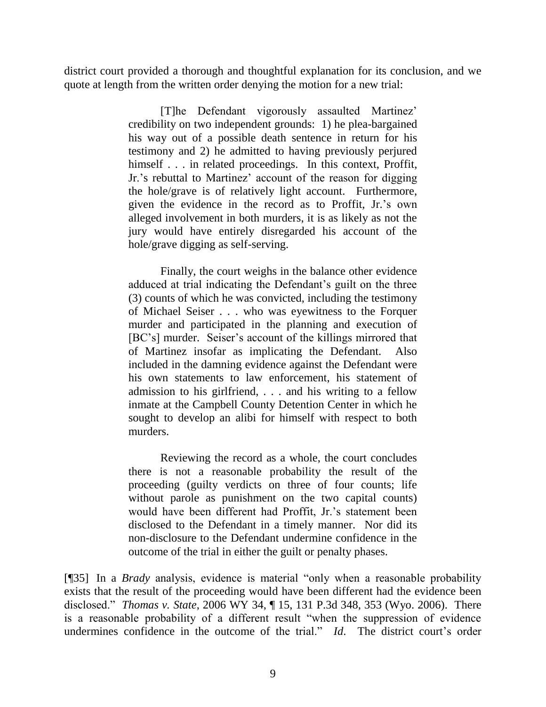district court provided a thorough and thoughtful explanation for its conclusion, and we quote at length from the written order denying the motion for a new trial:

> [T]he Defendant vigorously assaulted Martinez" credibility on two independent grounds: 1) he plea-bargained his way out of a possible death sentence in return for his testimony and 2) he admitted to having previously perjured himself . . . in related proceedings. In this context, Proffit, Jr."s rebuttal to Martinez" account of the reason for digging the hole/grave is of relatively light account. Furthermore, given the evidence in the record as to Proffit, Jr."s own alleged involvement in both murders, it is as likely as not the jury would have entirely disregarded his account of the hole/grave digging as self-serving.

> Finally, the court weighs in the balance other evidence adduced at trial indicating the Defendant's guilt on the three (3) counts of which he was convicted, including the testimony of Michael Seiser . . . who was eyewitness to the Forquer murder and participated in the planning and execution of [BC's] murder. Seiser's account of the killings mirrored that of Martinez insofar as implicating the Defendant. Also included in the damning evidence against the Defendant were his own statements to law enforcement, his statement of admission to his girlfriend, . . . and his writing to a fellow inmate at the Campbell County Detention Center in which he sought to develop an alibi for himself with respect to both murders.

> Reviewing the record as a whole, the court concludes there is not a reasonable probability the result of the proceeding (guilty verdicts on three of four counts; life without parole as punishment on the two capital counts) would have been different had Proffit, Jr.'s statement been disclosed to the Defendant in a timely manner. Nor did its non-disclosure to the Defendant undermine confidence in the outcome of the trial in either the guilt or penalty phases.

[¶35] In a *Brady* analysis, evidence is material "only when a reasonable probability exists that the result of the proceeding would have been different had the evidence been disclosed." *Thomas v. State*, 2006 WY 34, ¶ 15, 131 P.3d 348, 353 (Wyo. 2006). There is a reasonable probability of a different result "when the suppression of evidence undermines confidence in the outcome of the trial." *Id*. The district court's order